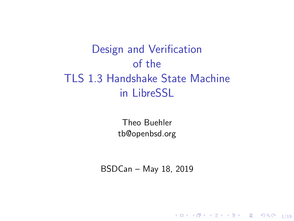Design and Verification of the TLS 1.3 Handshake State Machine in LibreSSL

> Theo Buehler [tb@openbsd.org](mailto:tb@openbsd.org)

BSDCan – May 18, 2019

4 ロ ▶ 4 @ ▶ 4 블 ▶ 4 블 ▶ │ 블 │ 9 Q Q │ 1/19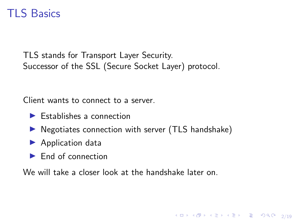## TLS Basics

TLS stands for Transport Layer Security. Successor of the SSL (Secure Socket Layer) protocol.

Client wants to connect to a server.

- $\blacktriangleright$  Establishes a connection
- $\triangleright$  Negotiates connection with server (TLS handshake)

4 ロ ▶ 4 레 ▶ 4 로 ▶ 4 로 ▶ 그로 → 9 Q Q → 2/19

- $\blacktriangleright$  Application data
- $\blacktriangleright$  End of connection

We will take a closer look at the handshake later on.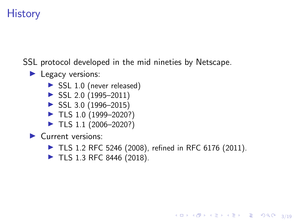# **History**

SSL protocol developed in the mid nineties by Netscape.

#### $\blacktriangleright$  Legacy versions:

- $\triangleright$  SSL 1.0 (never released)
- $\triangleright$  SSL 2.0 (1995–2011)
- $\blacktriangleright$  SSL 3.0 (1996–2015)
- $\blacktriangleright$  TLS 1.0 (1999–2020?)
- $\blacktriangleright$  TLS 1.1 (2006–2020?)

 $\blacktriangleright$  Current versions:

 $\blacktriangleright$  TLS 1.2 [RFC 5246](https://tools.ietf.org/html/rfc5246) (2008), refined in [RFC 6176](https://tools.ietf.org/html/rfc6176) (2011).

4/ 미 ▶ 4/ 레 ▶ 4/ 로 ▶ 4/ 로 ▶ 2 로 → 9/ 여 0 - 3/ 19

 $\blacktriangleright$  TLS 1.3 [RFC 8446](https://tools.ietf.org/html/rfc8446) (2018).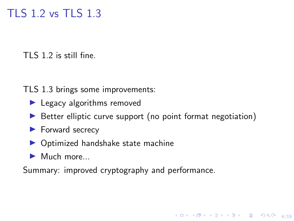## TLS 1.2 vs TLS 1.3

TLS 1.2 is still fine.

TLS 1.3 brings some improvements:

- $\blacktriangleright$  Legacy algorithms removed
- $\triangleright$  Better elliptic curve support (no point format negotiation)

4/19 → 4/19 → 4/19 → 4/19 → 4/19 → 4/19

- $\blacktriangleright$  Forward secrecy
- $\triangleright$  Optimized handshake state machine
- $\blacktriangleright$  Much more...

Summary: improved cryptography and performance.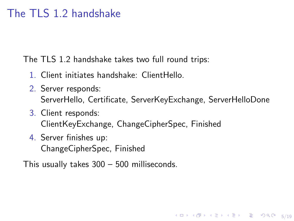## The TLS 1.2 handshake

The TLS 1.2 handshake takes two full round trips:

- 1. Client initiates handshake: ClientHello.
- 2. Server responds: ServerHello, Certificate, ServerKeyExchange, ServerHelloDone

4 ロ ▶ 4 레 ▶ 4 로 ▶ 4 로 ▶ 그로 → 9 Q O + 5/19

- 3. Client responds: ClientKeyExchange, ChangeCipherSpec, Finished
- 4. Server finishes up: ChangeCipherSpec, Finished

This usually takes 300 – 500 milliseconds.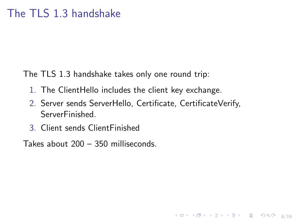The TLS 1.3 handshake takes only one round trip:

- 1. The ClientHello includes the client key exchange.
- 2. Server sends ServerHello, Certificate, CertificateVerify, ServerFinished.

4 ロ ▶ 4 레 ▶ 4 로 ▶ 4 로 ▶ 그로 → 9 Q O + 6/19

3. Client sends ClientFinished

Takes about 200 – 350 milliseconds.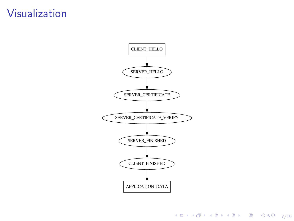## Visualization



4 ロ → 4 레 → 4 리 → 4 리 → 1 리 → 19 리 리 리 리 리 리 리 리 리 리 리 키 기<br>4 ロ → 4 레 → 4 리 → 4 리 - 리 리 리 리 리 리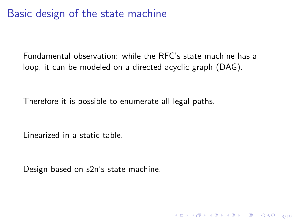### Basic design of the state machine

Fundamental observation: while the RFC's state machine has a loop, it can be modeled on a directed acyclic graph (DAG).

4 ロ ▶ 4 레 ▶ 4 로 ▶ 4 로 ▶ 그로 → 9 Q O + 8/19

Therefore it is possible to enumerate all legal paths.

Linearized in a static table.

Design based on s2n's state machine.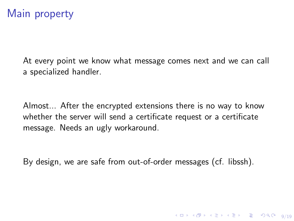## Main property

At every point we know what message comes next and we can call a specialized handler.

Almost... After the encrypted extensions there is no way to know whether the server will send a certificate request or a certificate message. Needs an ugly workaround.

By design, we are safe from out-of-order messages (cf. libssh).

4 ロ ▶ 4 레 ▶ 4 로 ▶ 4 로 ▶ 그로 → 9 9 0 0 9/19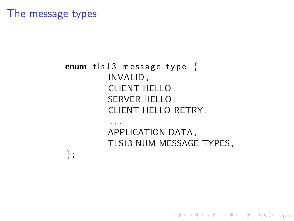### The message types

} ;

#### enum  $tls13$  message type { INVALID , CLIENT HELLO , SERVER\_HELLO, CLIENT HELLO RETRY , . . .

APPLICATION\_DATA, TLS13\_NUM\_MESSAGE\_TYPES,

10/19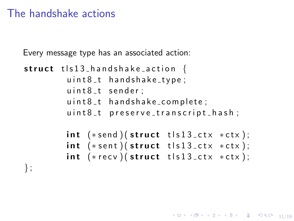### The handshake actions

Every message type has an associated action:

```
struct tls13_handshake_action {
         u \in \mathbb{R} 1 hand shake type;
         uint8_t sender;
         uint8_t handshake_complete;
         uint8_t preserve_transcript_hash;
         int (*send) (struct tls13_ctx *ctx);
         int (*sent) (struct t|s13_ctx *ctx);
        int (*recv) (struct tls13_ctx *ctx);
} ;
```
1日 N 1日 N 1 리베 1 리베 1 리베 1 리베 1 기<br>11/19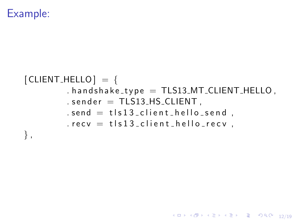### Example:

#### $[CLIENT_HELLO] = {$  $h$  h and shake type = TLS13 MT\_CLIENT\_HELLO,  $s$  sender = TLS13\_HS\_CLIENT,  $send = tls13$ -client-hello-send,  $recv = tls13$ <sub>-</sub>client hello-recv, } ,

10→ 1日→ 1월→ 1월→ 1월 1990 12/19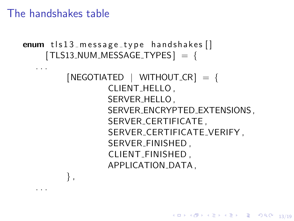The handshakes table

. . .

```
enum tls13 message type handshakes \lceil \rceil[TLS13_NUM_MESSAGE_TYPES] = \{. . .
         [NEGOTIATED | WITHOUT_CR] =CLIENT HELLO ,
                  SERVER HELLO ,
                  SERVER ENCRYPTED EXTENSIONS ,
                  SERVER CERTIFICATE ,
                  SERVER CERTIFICATE VERIFY ,
                  SERVER FINISHED ,
                  CLIENT FINISHED ,
                  APPLICATION DATA ,
         } ,
```
10 → 11日 → 11目 → 11로 → 11로 → 90,0 → 13/19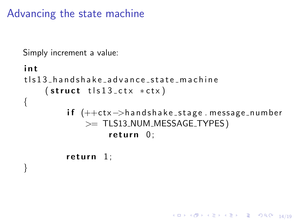Advancing the state machine

```
Simply increment a value:
```

```
i n t
t ls 13 h a n d s h a k e a d v a n c e _ s t a t e _ m a c h i n e
     (\text{struct } t | s13_cctx *ctx)
{
           if (++ctx->handshake_stage.message_number
               >= TLS13 NUM MESSAGE TYPES )
                     return 0:
```
14/19 14/19 14/19 14/19 14/19 14/19

```
return 1:
```
}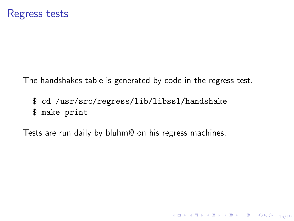The handshakes table is generated by code in the regress test.

10 H 1 1 마 시 리 H 시 리 H - 리 - 히 이 이 이 - 15/19

\$ cd /usr/src/regress/lib/libssl/handshake \$ make print

Tests are run daily by bluhm@ on his regress machines.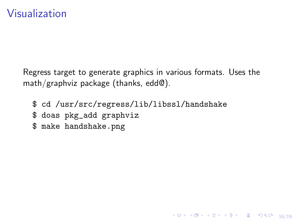Regress target to generate graphics in various formats. Uses the math/graphviz package (thanks, edd@).

16/19

\$ cd /usr/src/regress/lib/libssl/handshake

- \$ doas pkg\_add graphviz
- \$ make handshake.png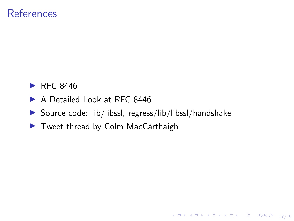### References

- $\blacktriangleright$  [RFC 8446](https://tools.ietf.org/html/rfc8446)
- ▶ [A Detailed Look at RFC 8446](https://blog.cloudflare.com/rfc-8446-aka-tls-1-3/)
- $\triangleright$  Source code: [lib/libssl,](https://cvsweb.openbsd.org/src/lib/libssl/) [regress/lib/libssl/handshake](https://cvsweb.openbsd.org/cgi-bin/cvsweb/src/regress/lib/libssl/handshake/)

10→ 1日→ 1월→ 1월→ 1월 1990 17/19

 $\blacktriangleright$  Tweet thread by Colm MacCárthaigh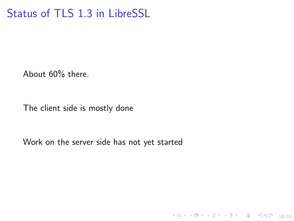# Status of TLS 1.3 in LibreSSL

About 60% there.

The client side is mostly done

Work on the server side has not yet started

18/19 18/19 18/19 18 12 14 15 14 15 16 17 18 18 18 19